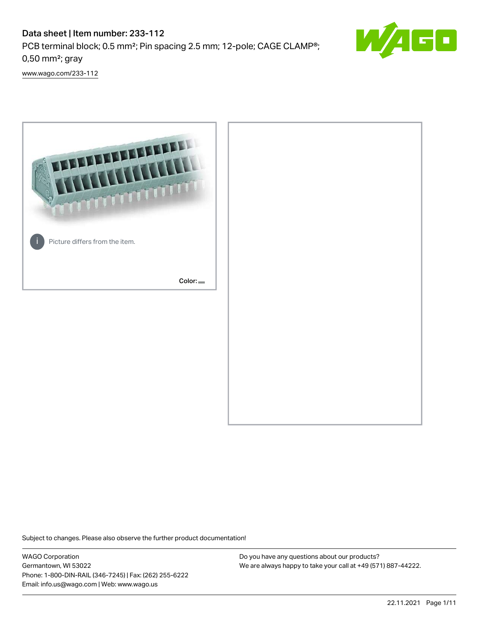# Data sheet | Item number: 233-112 PCB terminal block; 0.5 mm²; Pin spacing 2.5 mm; 12-pole; CAGE CLAMP®; 0,50 mm²; gray



[www.wago.com/233-112](http://www.wago.com/233-112)



Subject to changes. Please also observe the further product documentation!

WAGO Corporation Germantown, WI 53022 Phone: 1-800-DIN-RAIL (346-7245) | Fax: (262) 255-6222 Email: info.us@wago.com | Web: www.wago.us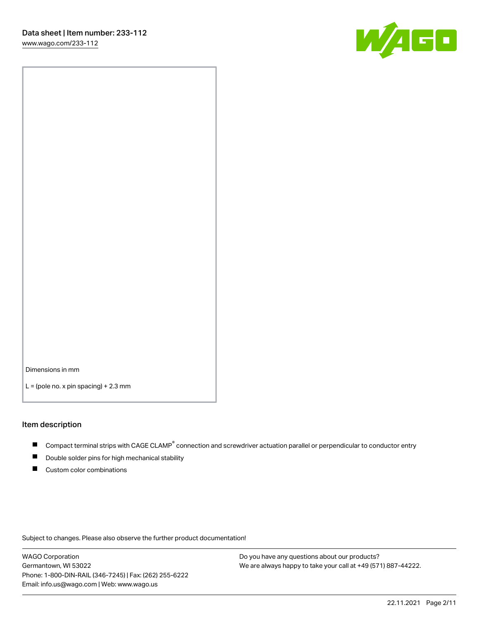

Dimensions in mm

 $L =$  (pole no. x pin spacing) + 2.3 mm

#### Item description

- Compact terminal strips with CAGE CLAMP<sup>®</sup> connection and screwdriver actuation parallel or perpendicular to conductor entry
- Double solder pins for high mechanical stability
- Custom color combinations

Subject to changes. Please also observe the further product documentation!

WAGO Corporation Germantown, WI 53022 Phone: 1-800-DIN-RAIL (346-7245) | Fax: (262) 255-6222 Email: info.us@wago.com | Web: www.wago.us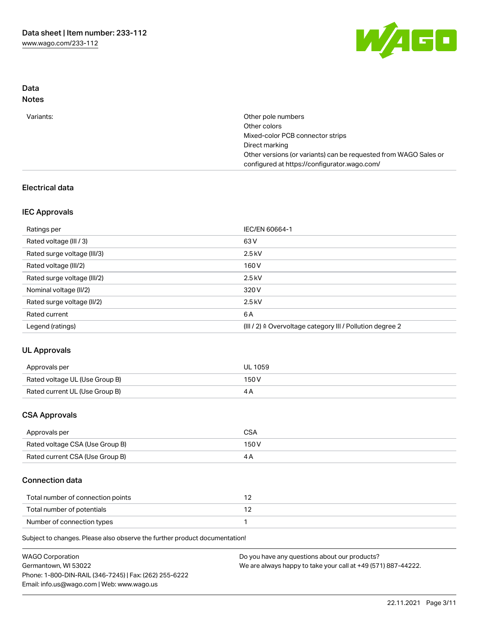

## Data Notes

| Variants: | Other pole numbers                                               |
|-----------|------------------------------------------------------------------|
|           | Other colors                                                     |
|           | Mixed-color PCB connector strips                                 |
|           | Direct marking                                                   |
|           | Other versions (or variants) can be requested from WAGO Sales or |
|           | configured at https://configurator.wago.com/                     |
|           |                                                                  |

# Electrical data

# IEC Approvals

| Ratings per                 | IEC/EN 60664-1                                                        |
|-----------------------------|-----------------------------------------------------------------------|
| Rated voltage (III / 3)     | 63 V                                                                  |
| Rated surge voltage (III/3) | $2.5$ kV                                                              |
| Rated voltage (III/2)       | 160 V                                                                 |
| Rated surge voltage (III/2) | $2.5$ kV                                                              |
| Nominal voltage (II/2)      | 320 V                                                                 |
| Rated surge voltage (II/2)  | $2.5$ kV                                                              |
| Rated current               | 6 A                                                                   |
| Legend (ratings)            | $(III / 2)$ $\triangle$ Overvoltage category III / Pollution degree 2 |

# UL Approvals

| Approvals per                  | <b>UL 1059</b> |
|--------------------------------|----------------|
| Rated voltage UL (Use Group B) | 150V           |
| Rated current UL (Use Group B) |                |

## CSA Approvals

| Approvals per                   | CSA   |
|---------------------------------|-------|
| Rated voltage CSA (Use Group B) | 150 V |
| Rated current CSA (Use Group B) |       |

# Connection data

| Total number of connection points |  |
|-----------------------------------|--|
| Total number of potentials        |  |
| Number of connection types        |  |

Subject to changes. Please also observe the further product documentation!

| <b>WAGO Corporation</b>                                | Do you have any questions about our products?                 |
|--------------------------------------------------------|---------------------------------------------------------------|
| Germantown, WI 53022                                   | We are always happy to take your call at +49 (571) 887-44222. |
| Phone: 1-800-DIN-RAIL (346-7245)   Fax: (262) 255-6222 |                                                               |
| Email: info.us@wago.com   Web: www.wago.us             |                                                               |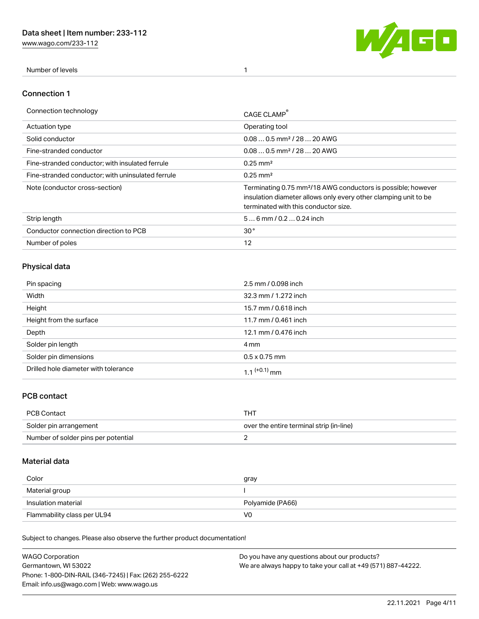[www.wago.com/233-112](http://www.wago.com/233-112)



Number of levels 1

## Connection 1

| Connection technology                             | CAGE CLAMP                                                                                                                                                                          |
|---------------------------------------------------|-------------------------------------------------------------------------------------------------------------------------------------------------------------------------------------|
| <b>Actuation type</b>                             | Operating tool                                                                                                                                                                      |
| Solid conductor                                   | $0.080.5$ mm <sup>2</sup> / 28  20 AWG                                                                                                                                              |
| Fine-stranded conductor                           | $0.080.5$ mm <sup>2</sup> / 28  20 AWG                                                                                                                                              |
| Fine-stranded conductor; with insulated ferrule   | $0.25 \text{ mm}^2$                                                                                                                                                                 |
| Fine-stranded conductor: with uninsulated ferrule | $0.25 \text{ mm}^2$                                                                                                                                                                 |
| Note (conductor cross-section)                    | Terminating 0.75 mm <sup>2</sup> /18 AWG conductors is possible; however<br>insulation diameter allows only every other clamping unit to be<br>terminated with this conductor size. |
| Strip length                                      | $56$ mm $/ 0.20.24$ inch                                                                                                                                                            |
| Conductor connection direction to PCB             | 30 <sup>°</sup>                                                                                                                                                                     |
| Number of poles                                   | 12                                                                                                                                                                                  |

# Physical data

| Pin spacing                          | 2.5 mm / 0.098 inch  |
|--------------------------------------|----------------------|
| Width                                | 32.3 mm / 1.272 inch |
| Height                               | 15.7 mm / 0.618 inch |
| Height from the surface              | 11.7 mm / 0.461 inch |
| Depth                                | 12.1 mm / 0.476 inch |
| Solder pin length                    | 4 mm                 |
| Solder pin dimensions                | $0.5 \times 0.75$ mm |
| Drilled hole diameter with tolerance | 1 1 $(+0.1)$ mm      |

# PCB contact

| PCB Contact                         | THT                                      |
|-------------------------------------|------------------------------------------|
| Solder pin arrangement              | over the entire terminal strip (in-line) |
| Number of solder pins per potential |                                          |

# Material data

| Color               | gray             |
|---------------------|------------------|
| Material group      |                  |
| Insulation material | Polyamide (PA66) |
|                     |                  |

Subject to changes. Please also observe the further product documentation!

| <b>WAGO Corporation</b>                                | Do you have any questions about our products?                 |
|--------------------------------------------------------|---------------------------------------------------------------|
| Germantown, WI 53022                                   | We are always happy to take your call at +49 (571) 887-44222. |
| Phone: 1-800-DIN-RAIL (346-7245)   Fax: (262) 255-6222 |                                                               |
| Email: info.us@wago.com   Web: www.wago.us             |                                                               |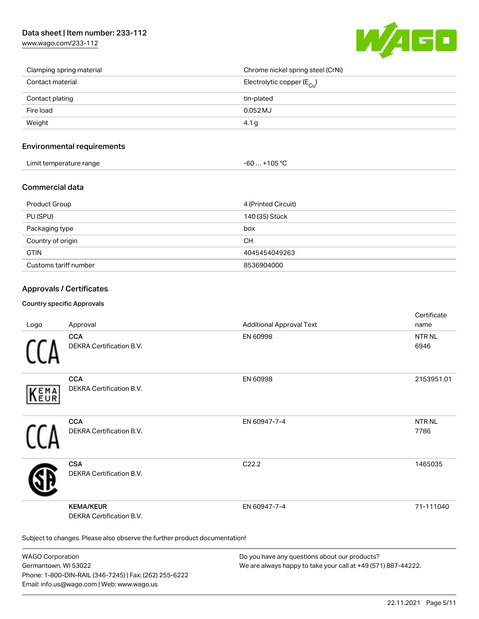[www.wago.com/233-112](http://www.wago.com/233-112)



| Clamping spring material | Chrome nickel spring steel (CrNi)       |
|--------------------------|-----------------------------------------|
| Contact material         | Electrolytic copper ( $E_{\text{Cu}}$ ) |
| Contact plating          | tin-plated                              |
| Fire load                | $0.052$ MJ                              |
| Weight                   | 4.1 <sub>g</sub>                        |

## Environmental requirements

| Limit temperature range | $-60+105 °C$ |
|-------------------------|--------------|
|-------------------------|--------------|

## Commercial data

| Product Group         | 4 (Printed Circuit) |
|-----------------------|---------------------|
| PU (SPU)              | 140 (35) Stück      |
| Packaging type        | box                 |
| Country of origin     | <b>CH</b>           |
| <b>GTIN</b>           | 4045454049263       |
| Customs tariff number | 8536904000          |

## Approvals / Certificates

### Country specific Approvals

| Logo                                                                       | Approval                                     | <b>Additional Approval Text</b> | Certificate<br>name       |  |  |
|----------------------------------------------------------------------------|----------------------------------------------|---------------------------------|---------------------------|--|--|
|                                                                            | <b>CCA</b><br>DEKRA Certification B.V.       | EN 60998                        | NTR <sub>NL</sub><br>6946 |  |  |
| EMA<br>EUR                                                                 | <b>CCA</b><br>DEKRA Certification B.V.       | EN 60998                        | 2153951.01                |  |  |
|                                                                            | <b>CCA</b><br>DEKRA Certification B.V.       | EN 60947-7-4                    | <b>NTRNL</b><br>7786      |  |  |
|                                                                            | <b>CSA</b><br>DEKRA Certification B.V.       | C22.2                           | 1465035                   |  |  |
|                                                                            | <b>KEMA/KEUR</b><br>DEKRA Certification B.V. | EN 60947-7-4                    | 71-111040                 |  |  |
| Subject to changes. Please also observe the further product documentation! |                                              |                                 |                           |  |  |

WAGO Corporation Germantown, WI 53022 Phone: 1-800-DIN-RAIL (346-7245) | Fax: (262) 255-6222 Email: info.us@wago.com | Web: www.wago.us

Do you have any questions about our products? We are always happy to take your call at +49 (571) 887-44222.

certificate in the contraction of the contraction of the contraction of the contraction of the contraction of the contraction of the contraction of the contraction of the contraction of the contraction of the contraction o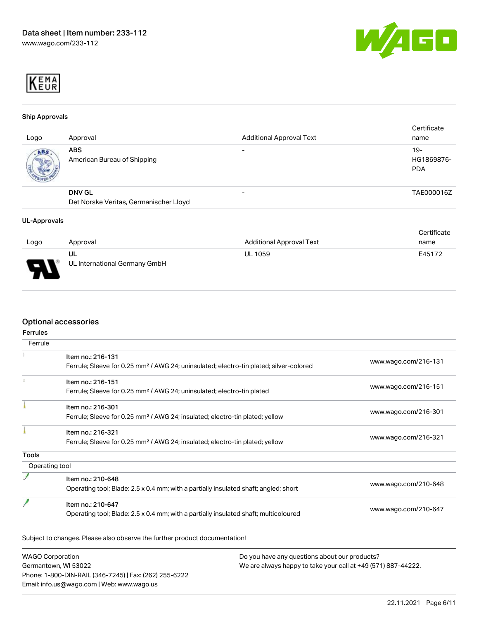



#### Ship Approvals

| Logo | Approval                                                | <b>Additional Approval Text</b> | Certificate<br>name               |
|------|---------------------------------------------------------|---------------------------------|-----------------------------------|
| ABS. | <b>ABS</b><br>American Bureau of Shipping               |                                 | $19-$<br>HG1869876-<br><b>PDA</b> |
|      | <b>DNV GL</b><br>Det Norske Veritas, Germanischer Lloyd | -                               | TAE000016Z                        |

#### UL-Approvals

|      |                               |                          | Certificate |
|------|-------------------------------|--------------------------|-------------|
| Logo | Approval                      | Additional Approval Text | name        |
|      | UL                            | <b>UL 1059</b>           | E45172      |
| J    | UL International Germany GmbH |                          |             |

## Optional accessories

| Ferrule        |                                                                                                    |                      |  |
|----------------|----------------------------------------------------------------------------------------------------|----------------------|--|
|                | Item no.: 216-131                                                                                  | www.wago.com/216-131 |  |
|                | Ferrule; Sleeve for 0.25 mm <sup>2</sup> / AWG 24; uninsulated; electro-tin plated; silver-colored |                      |  |
|                | Item no.: 216-151                                                                                  |                      |  |
|                | Ferrule; Sleeve for 0.25 mm <sup>2</sup> / AWG 24; uninsulated; electro-tin plated                 | www.wago.com/216-151 |  |
|                | Item no.: 216-301                                                                                  |                      |  |
|                | Ferrule; Sleeve for 0.25 mm <sup>2</sup> / AWG 24; insulated; electro-tin plated; yellow           | www.wago.com/216-301 |  |
|                | Item no.: 216-321                                                                                  |                      |  |
|                | Ferrule; Sleeve for 0.25 mm <sup>2</sup> / AWG 24; insulated; electro-tin plated; yellow           | www.wago.com/216-321 |  |
| <b>Tools</b>   |                                                                                                    |                      |  |
| Operating tool |                                                                                                    |                      |  |
|                | Item no.: 210-648                                                                                  |                      |  |
|                | Operating tool; Blade: 2.5 x 0.4 mm; with a partially insulated shaft; angled; short               | www.wago.com/210-648 |  |
|                | Item no.: 210-647                                                                                  |                      |  |
|                | Operating tool; Blade: 2.5 x 0.4 mm; with a partially insulated shaft; multicoloured               | www.wago.com/210-647 |  |

WAGO Corporation Germantown, WI 53022 Phone: 1-800-DIN-RAIL (346-7245) | Fax: (262) 255-6222 Email: info.us@wago.com | Web: www.wago.us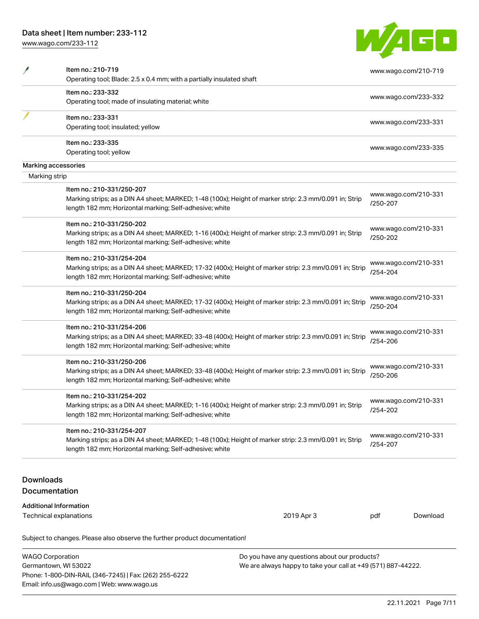Phone: 1-800-DIN-RAIL (346-7245) | Fax: (262) 255-6222

Email: info.us@wago.com | Web: www.wago.us

[www.wago.com/233-112](http://www.wago.com/233-112)

| <b>TA</b><br>- 17<br>$\mathbf{A}$ r | <u>a sa </u> |  |
|-------------------------------------|--------------|--|
|                                     |              |  |
|                                     |              |  |

|                                                 | Item no.: 210-719<br>Operating tool; Blade: 2.5 x 0.4 mm; with a partially insulated shaft              |                                                               |          | www.wago.com/210-719 |
|-------------------------------------------------|---------------------------------------------------------------------------------------------------------|---------------------------------------------------------------|----------|----------------------|
|                                                 | Item no.: 233-332                                                                                       |                                                               |          |                      |
|                                                 | Operating tool; made of insulating material; white                                                      |                                                               |          | www.wago.com/233-332 |
|                                                 | Item no.: 233-331                                                                                       |                                                               |          |                      |
|                                                 | Operating tool; insulated; yellow                                                                       |                                                               |          | www.wago.com/233-331 |
|                                                 | Item no.: 233-335                                                                                       |                                                               |          | www.wago.com/233-335 |
|                                                 | Operating tool; yellow                                                                                  |                                                               |          |                      |
|                                                 | Marking accessories                                                                                     |                                                               |          |                      |
| Marking strip                                   |                                                                                                         |                                                               |          |                      |
|                                                 | Item no.: 210-331/250-207                                                                               |                                                               |          |                      |
|                                                 | Marking strips; as a DIN A4 sheet; MARKED; 1-48 (100x); Height of marker strip: 2.3 mm/0.091 in; Strip  |                                                               |          | www.wago.com/210-331 |
|                                                 | length 182 mm; Horizontal marking; Self-adhesive; white                                                 |                                                               | /250-207 |                      |
|                                                 | Item no.: 210-331/250-202                                                                               |                                                               |          |                      |
|                                                 | Marking strips; as a DIN A4 sheet; MARKED; 1-16 (400x); Height of marker strip: 2.3 mm/0.091 in; Strip  |                                                               |          | www.wago.com/210-331 |
|                                                 | length 182 mm; Horizontal marking; Self-adhesive; white                                                 |                                                               | /250-202 |                      |
|                                                 | Item no.: 210-331/254-204                                                                               |                                                               |          |                      |
|                                                 | Marking strips; as a DIN A4 sheet; MARKED; 17-32 (400x); Height of marker strip: 2.3 mm/0.091 in; Strip |                                                               |          | www.wago.com/210-331 |
|                                                 | length 182 mm; Horizontal marking; Self-adhesive; white                                                 |                                                               | /254-204 |                      |
|                                                 | Item no.: 210-331/250-204                                                                               |                                                               |          |                      |
|                                                 | Marking strips; as a DIN A4 sheet; MARKED; 17-32 (400x); Height of marker strip: 2.3 mm/0.091 in; Strip |                                                               |          | www.wago.com/210-331 |
|                                                 | length 182 mm; Horizontal marking; Self-adhesive; white                                                 |                                                               | /250-204 |                      |
|                                                 | Item no.: 210-331/254-206                                                                               |                                                               |          |                      |
|                                                 | Marking strips; as a DIN A4 sheet; MARKED; 33-48 (400x); Height of marker strip: 2.3 mm/0.091 in; Strip |                                                               |          | www.wago.com/210-331 |
|                                                 | length 182 mm; Horizontal marking; Self-adhesive; white                                                 |                                                               | /254-206 |                      |
|                                                 | Item no.: 210-331/250-206                                                                               |                                                               |          |                      |
|                                                 | Marking strips; as a DIN A4 sheet; MARKED; 33-48 (400x); Height of marker strip: 2.3 mm/0.091 in; Strip |                                                               |          | www.wago.com/210-331 |
|                                                 | length 182 mm; Horizontal marking; Self-adhesive; white                                                 |                                                               | /250-206 |                      |
|                                                 | Item no.: 210-331/254-202                                                                               |                                                               |          |                      |
|                                                 | Marking strips; as a DIN A4 sheet; MARKED; 1-16 (400x); Height of marker strip: 2.3 mm/0.091 in; Strip  |                                                               |          | www.wago.com/210-331 |
|                                                 | length 182 mm; Horizontal marking; Self-adhesive; white                                                 |                                                               | /254-202 |                      |
|                                                 | Item no.: 210-331/254-207                                                                               |                                                               |          |                      |
|                                                 | Marking strips; as a DIN A4 sheet; MARKED; 1-48 (100x); Height of marker strip: 2.3 mm/0.091 in; Strip  |                                                               |          | www.wago.com/210-331 |
|                                                 | length 182 mm; Horizontal marking; Self-adhesive; white                                                 |                                                               | /254-207 |                      |
|                                                 |                                                                                                         |                                                               |          |                      |
| <b>Downloads</b>                                |                                                                                                         |                                                               |          |                      |
|                                                 | <b>Documentation</b>                                                                                    |                                                               |          |                      |
|                                                 | <b>Additional Information</b>                                                                           |                                                               |          |                      |
|                                                 | Technical explanations                                                                                  | 2019 Apr 3                                                    | pdf      | Download             |
|                                                 | Subject to changes. Please also observe the further product documentation!                              |                                                               |          |                      |
|                                                 |                                                                                                         | Do you have any questions about our products?                 |          |                      |
| <b>WAGO Corporation</b><br>Germantown, WI 53022 |                                                                                                         | We are always happy to take your call at +49 (571) 887-44222. |          |                      |
|                                                 |                                                                                                         |                                                               |          |                      |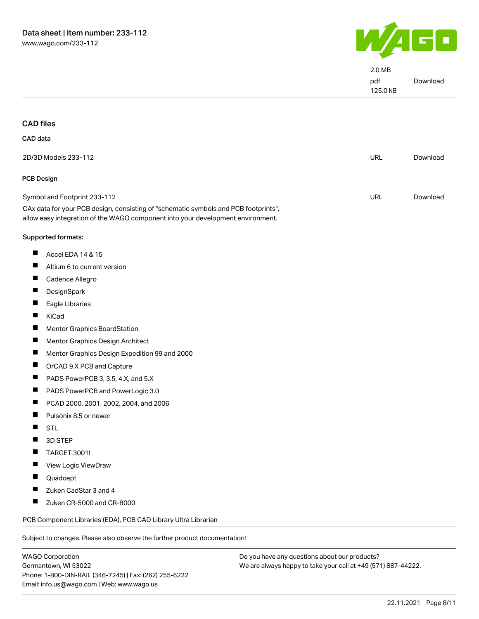

|                                                                                                                                                                        | 2.0 MB          |          |
|------------------------------------------------------------------------------------------------------------------------------------------------------------------------|-----------------|----------|
|                                                                                                                                                                        | pdf<br>125.0 kB | Download |
| <b>CAD files</b>                                                                                                                                                       |                 |          |
| CAD data                                                                                                                                                               |                 |          |
|                                                                                                                                                                        |                 |          |
| 2D/3D Models 233-112                                                                                                                                                   | <b>URL</b>      | Download |
| <b>PCB Design</b>                                                                                                                                                      |                 |          |
| Symbol and Footprint 233-112                                                                                                                                           | <b>URL</b>      | Download |
| CAx data for your PCB design, consisting of "schematic symbols and PCB footprints",<br>allow easy integration of the WAGO component into your development environment. |                 |          |
| Supported formats:                                                                                                                                                     |                 |          |
| <b>The Second Second</b><br>Accel EDA 14 & 15                                                                                                                          |                 |          |
| H.<br>Altium 6 to current version                                                                                                                                      |                 |          |
| ш<br>Cadence Allegro                                                                                                                                                   |                 |          |
| <b>I</b><br>DesignSpark                                                                                                                                                |                 |          |
| Eagle Libraries                                                                                                                                                        |                 |          |
| ш<br>KiCad                                                                                                                                                             |                 |          |
| Mentor Graphics BoardStation                                                                                                                                           |                 |          |
| ш<br>Mentor Graphics Design Architect                                                                                                                                  |                 |          |
| Mentor Graphics Design Expedition 99 and 2000<br>ш                                                                                                                     |                 |          |
| п<br>OrCAD 9.X PCB and Capture                                                                                                                                         |                 |          |
| PADS PowerPCB 3, 3.5, 4.X, and 5.X<br><b>I</b>                                                                                                                         |                 |          |
| PADS PowerPCB and PowerLogic 3.0                                                                                                                                       |                 |          |
| PCAD 2000, 2001, 2002, 2004, and 2006                                                                                                                                  |                 |          |
| Pulsonix 8.5 or newer                                                                                                                                                  |                 |          |
| <b>STL</b>                                                                                                                                                             |                 |          |
| 3D STEP                                                                                                                                                                |                 |          |
| <b>TARGET 3001!</b>                                                                                                                                                    |                 |          |
| a pro<br>View Logic ViewDraw                                                                                                                                           |                 |          |
| <b>I</b><br>Quadcept                                                                                                                                                   |                 |          |
| Zuken CadStar 3 and 4<br><b>I</b>                                                                                                                                      |                 |          |
| ш<br>Zuken CR-5000 and CR-8000                                                                                                                                         |                 |          |
| PCB Component Libraries (EDA), PCB CAD Library Ultra Librarian                                                                                                         |                 |          |
| Subject to changes. Please also observe the further product documentation!                                                                                             |                 |          |
|                                                                                                                                                                        |                 |          |

WAGO Corporation Germantown, WI 53022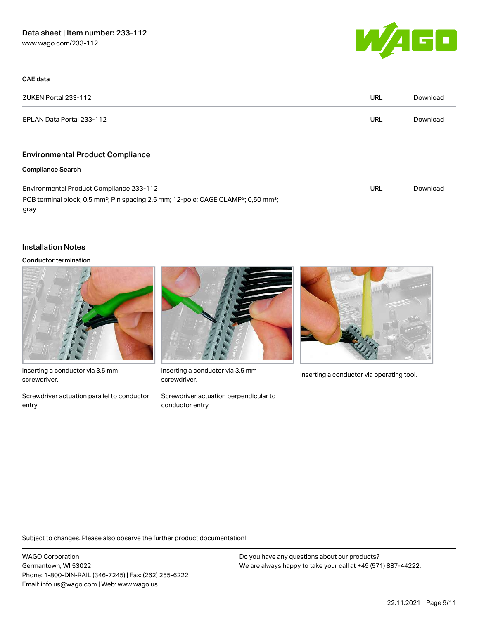

| CAE data                                                                                                                        |            |          |
|---------------------------------------------------------------------------------------------------------------------------------|------------|----------|
| ZUKEN Portal 233-112                                                                                                            | URL        | Download |
| EPLAN Data Portal 233-112                                                                                                       | URL        | Download |
| <b>Environmental Product Compliance</b>                                                                                         |            |          |
| <b>Compliance Search</b>                                                                                                        |            |          |
| Environmental Product Compliance 233-112                                                                                        | <b>URL</b> | Download |
| PCB terminal block; 0.5 mm <sup>2</sup> ; Pin spacing 2.5 mm; 12-pole; CAGE CLAMP <sup>®</sup> ; 0,50 mm <sup>2</sup> ;<br>gray |            |          |

## Installation Notes

#### Conductor termination



Inserting a conductor via 3.5 mm screwdriver.

Screwdriver actuation parallel to conductor entry



Inserting a conductor via 3.5 mm<br>Inserting a conductor via operating tool. screwdriver.

Screwdriver actuation perpendicular to conductor entry



Subject to changes. Please also observe the further product documentation!

WAGO Corporation Germantown, WI 53022 Phone: 1-800-DIN-RAIL (346-7245) | Fax: (262) 255-6222 Email: info.us@wago.com | Web: www.wago.us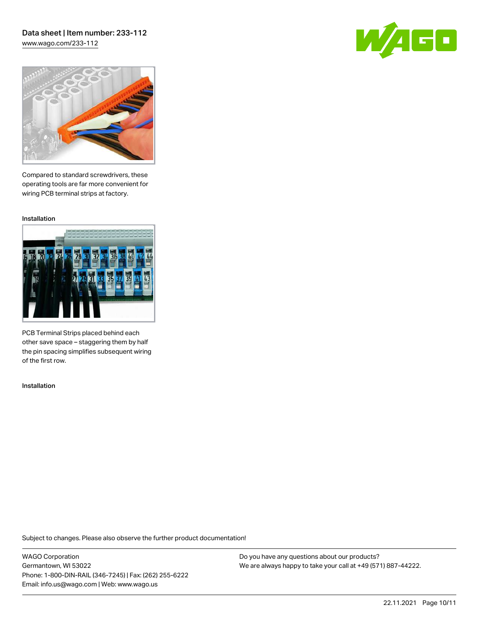# Data sheet | Item number: 233-112

[www.wago.com/233-112](http://www.wago.com/233-112)





Compared to standard screwdrivers, these operating tools are far more convenient for wiring PCB terminal strips at factory.

Installation



PCB Terminal Strips placed behind each other save space – staggering them by half the pin spacing simplifies subsequent wiring of the first row.

Installation

Subject to changes. Please also observe the further product documentation!

WAGO Corporation Germantown, WI 53022 Phone: 1-800-DIN-RAIL (346-7245) | Fax: (262) 255-6222 Email: info.us@wago.com | Web: www.wago.us